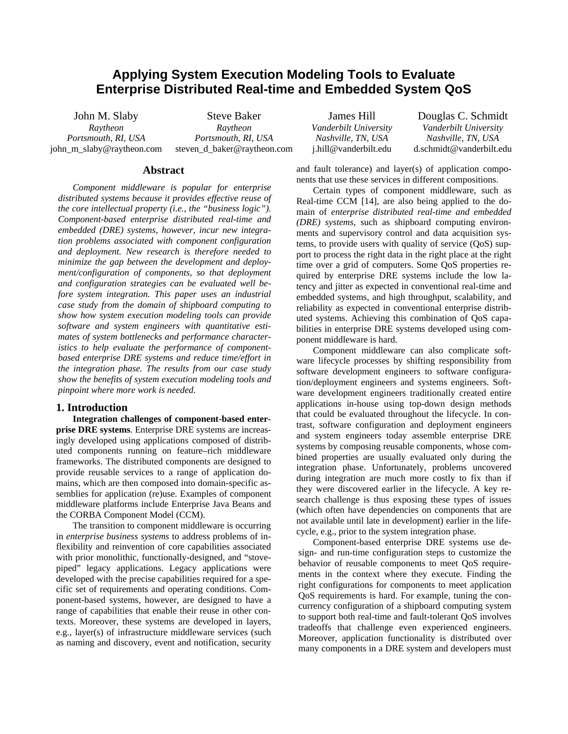# **Applying System Execution Modeling Tools to Evaluate Enterprise Distributed Real-time and Embedded System QoS**

John M. Slaby *Raytheon Portsmouth, RI, USA*  john\_m\_slaby@raytheon.com

Steve Baker *Raytheon Portsmouth, RI, USA*  steven\_d\_baker@raytheon.com

James Hill *Vanderbilt University Nashville, TN, USA*  j.hill@vanderbilt.edu

Douglas C. Schmidt *Vanderbilt University Nashville, TN, USA*  d.schmidt@vanderbilt.edu

# **Abstract**

 *Component middleware is popular for enterprise distributed systems because it provides effective reuse of the core intellectual property (i.e., the "business logic"). Component-based enterprise distributed real-time and embedded (DRE) systems, however, incur new integration problems associated with component configuration and deployment. New research is therefore needed to minimize the gap between the development and deployment/configuration of components, so that deployment and configuration strategies can be evaluated well before system integration. This paper uses an industrial case study from the domain of shipboard computing to show how system execution modeling tools can provide software and system engineers with quantitative estimates of system bottlenecks and performance characteristics to help evaluate the performance of componentbased enterprise DRE systems and reduce time/effort in the integration phase. The results from our case study show the benefits of system execution modeling tools and pinpoint where more work is needed.*

# **1. Introduction**

 **Integration challenges of component-based enterprise DRE systems**. Enterprise DRE systems are increasingly developed using applications composed of distributed components running on feature–rich middleware frameworks. The distributed components are designed to provide reusable services to a range of application domains, which are then composed into domain-specific assemblies for application (re)use. Examples of component middleware platforms include Enterprise Java Beans and the CORBA Component Model (CCM).

 The transition to component middleware is occurring in *enterprise business systems* to address problems of inflexibility and reinvention of core capabilities associated with prior monolithic, functionally-designed, and "stovepiped" legacy applications. Legacy applications were developed with the precise capabilities required for a specific set of requirements and operating conditions. Component-based systems, however, are designed to have a range of capabilities that enable their reuse in other contexts. Moreover, these systems are developed in layers, e.g., layer(s) of infrastructure middleware services (such as naming and discovery, event and notification, security

and fault tolerance) and layer(s) of application components that use these services in different compositions.

 Certain types of component middleware, such as Real-time CCM [14], are also being applied to the domain of *enterprise distributed real-time and embedded (DRE) systems*, such as shipboard computing environments and supervisory control and data acquisition systems, to provide users with quality of service (QoS) support to process the right data in the right place at the right time over a grid of computers. Some QoS properties required by enterprise DRE systems include the low latency and jitter as expected in conventional real-time and embedded systems, and high throughput, scalability, and reliability as expected in conventional enterprise distributed systems. Achieving this combination of QoS capabilities in enterprise DRE systems developed using component middleware is hard.

 Component middleware can also complicate software lifecycle processes by shifting responsibility from software development engineers to software configuration/deployment engineers and systems engineers. Software development engineers traditionally created entire applications in-house using top-down design methods that could be evaluated throughout the lifecycle. In contrast, software configuration and deployment engineers and system engineers today assemble enterprise DRE systems by composing reusable components, whose combined properties are usually evaluated only during the integration phase. Unfortunately, problems uncovered during integration are much more costly to fix than if they were discovered earlier in the lifecycle. A key research challenge is thus exposing these types of issues (which often have dependencies on components that are not available until late in development) earlier in the lifecycle, e.g., prior to the system integration phase.

 Component-based enterprise DRE systems use design- and run-time configuration steps to customize the behavior of reusable components to meet QoS requirements in the context where they execute. Finding the right configurations for components to meet application QoS requirements is hard. For example, tuning the concurrency configuration of a shipboard computing system to support both real-time and fault-tolerant QoS involves tradeoffs that challenge even experienced engineers. Moreover, application functionality is distributed over many components in a DRE system and developers must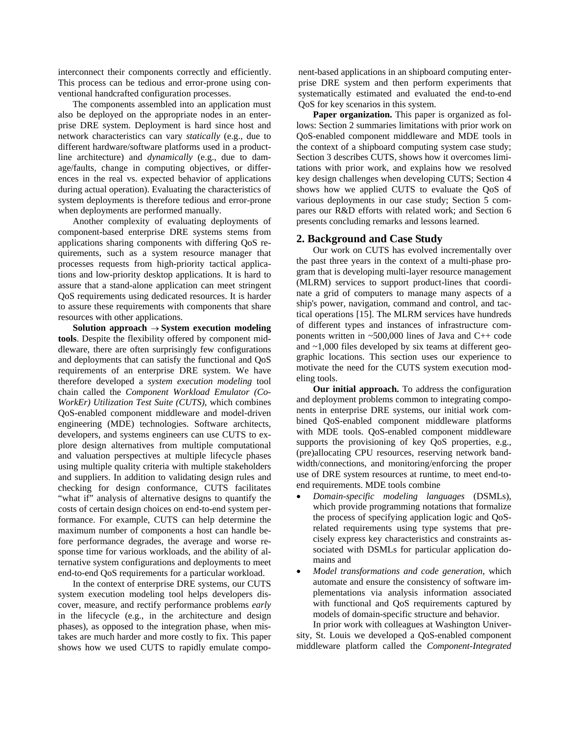interconnect their components correctly and efficiently. This process can be tedious and error-prone using conventional handcrafted configuration processes.

 The components assembled into an application must also be deployed on the appropriate nodes in an enterprise DRE system. Deployment is hard since host and network characteristics can vary *statically* (e.g., due to different hardware/software platforms used in a productline architecture) and *dynamically* (e.g., due to damage/faults, change in computing objectives, or differences in the real vs. expected behavior of applications during actual operation). Evaluating the characteristics of system deployments is therefore tedious and error-prone when deployments are performed manually.

 Another complexity of evaluating deployments of component-based enterprise DRE systems stems from applications sharing components with differing QoS requirements, such as a system resource manager that processes requests from high-priority tactical applications and low-priority desktop applications. It is hard to assure that a stand-alone application can meet stringent QoS requirements using dedicated resources. It is harder to assure these requirements with components that share resources with other applications.

**Solution approach** → **System execution modeling tools**. Despite the flexibility offered by component middleware, there are often surprisingly few configurations and deployments that can satisfy the functional and QoS requirements of an enterprise DRE system. We have therefore developed a *system execution modeling* tool chain called the *Component Workload Emulator (Co-WorkEr) Utilization Test Suite (CUTS)*, which combines QoS-enabled component middleware and model-driven engineering (MDE) technologies. Software architects, developers, and systems engineers can use CUTS to explore design alternatives from multiple computational and valuation perspectives at multiple lifecycle phases using multiple quality criteria with multiple stakeholders and suppliers. In addition to validating design rules and checking for design conformance, CUTS facilitates "what if" analysis of alternative designs to quantify the costs of certain design choices on end-to-end system performance. For example, CUTS can help determine the maximum number of components a host can handle before performance degrades, the average and worse response time for various workloads, and the ability of alternative system configurations and deployments to meet end-to-end QoS requirements for a particular workload.

In the context of enterprise DRE systems, our CUTS system execution modeling tool helps developers discover, measure, and rectify performance problems *early* in the lifecycle (e.g., in the architecture and design phases), as opposed to the integration phase, when mistakes are much harder and more costly to fix. This paper shows how we used CUTS to rapidly emulate component-based applications in an shipboard computing enterprise DRE system and then perform experiments that systematically estimated and evaluated the end-to-end QoS for key scenarios in this system.

**Paper organization.** This paper is organized as follows: Section 2 summaries limitations with prior work on QoS-enabled component middleware and MDE tools in the context of a shipboard computing system case study; Section 3 describes CUTS, shows how it overcomes limitations with prior work, and explains how we resolved key design challenges when developing CUTS; Section 4 shows how we applied CUTS to evaluate the QoS of various deployments in our case study; Section 5 compares our R&D efforts with related work; and Section 6 presents concluding remarks and lessons learned.

# **2. Background and Case Study**

Our work on CUTS has evolved incrementally over the past three years in the context of a multi-phase program that is developing multi-layer resource management (MLRM) services to support product-lines that coordinate a grid of computers to manage many aspects of a ship's power, navigation, command and control, and tactical operations [15]. The MLRM services have hundreds of different types and instances of infrastructure components written in ~500,000 lines of Java and C++ code and ~1,000 files developed by six teams at different geographic locations. This section uses our experience to motivate the need for the CUTS system execution modeling tools.

**Our initial approach.** To address the configuration and deployment problems common to integrating components in enterprise DRE systems, our initial work combined QoS-enabled component middleware platforms with MDE tools. QoS-enabled component middleware supports the provisioning of key QoS properties, e.g., (pre)allocating CPU resources, reserving network bandwidth/connections, and monitoring/enforcing the proper use of DRE system resources at runtime, to meet end-toend requirements. MDE tools combine

- *Domain-specific modeling languages* (DSMLs), which provide programming notations that formalize the process of specifying application logic and QoSrelated requirements using type systems that precisely express key characteristics and constraints associated with DSMLs for particular application domains and
- *Model transformations and code generation*, which automate and ensure the consistency of software implementations via analysis information associated with functional and QoS requirements captured by models of domain-specific structure and behavior.

 In prior work with colleagues at Washington University, St. Louis we developed a QoS-enabled component middleware platform called the *Component-Integrated*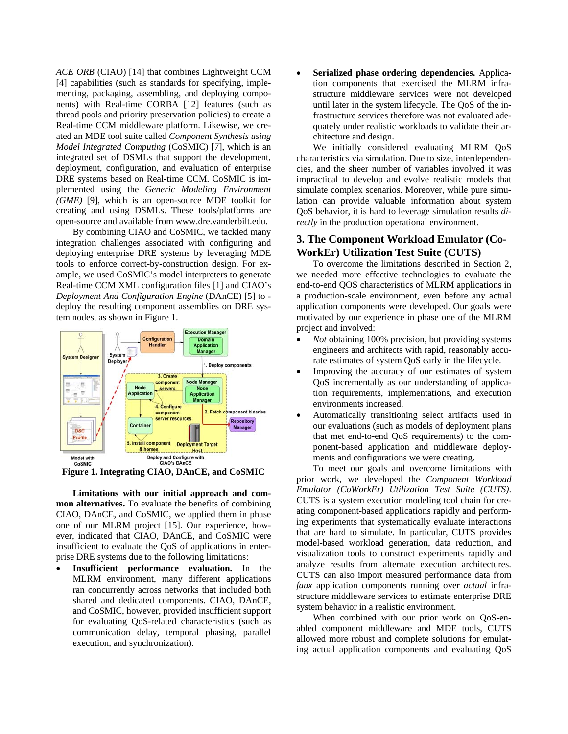*ACE ORB* (CIAO) [14] that combines Lightweight CCM [4] capabilities (such as standards for specifying, implementing, packaging, assembling, and deploying components) with Real-time CORBA [12] features (such as thread pools and priority preservation policies) to create a Real-time CCM middleware platform. Likewise, we created an MDE tool suite called *Component Synthesis using Model Integrated Computing* (CoSMIC) [7], which is an integrated set of DSMLs that support the development, deployment, configuration, and evaluation of enterprise DRE systems based on Real-time CCM. CoSMIC is implemented using the *Generic Modeling Environment (GME)* [9], which is an open-source MDE toolkit for creating and using DSMLs. These tools/platforms are open-source and available from www.dre.vanderbilt.edu.

 By combining CIAO and CoSMIC, we tackled many integration challenges associated with configuring and deploying enterprise DRE systems by leveraging MDE tools to enforce correct-by-construction design. For example, we used CoSMIC's model interpreters to generate Real-time CCM XML configuration files [1] and CIAO's *Deployment And Configuration Engine* (DAnCE) [5] to deploy the resulting component assemblies on DRE system nodes, as shown in Figure 1.



**Figure 1. Integrating CIAO, DAnCE, and CoSMIC** 

 **Limitations with our initial approach and common alternatives.** To evaluate the benefits of combining CIAO, DAnCE, and CoSMIC, we applied them in phase one of our MLRM project [15]. Our experience, however, indicated that CIAO, DAnCE, and CoSMIC were insufficient to evaluate the QoS of applications in enterprise DRE systems due to the following limitations:

• **Insufficient performance evaluation.** In the MLRM environment, many different applications ran concurrently across networks that included both shared and dedicated components. CIAO, DAnCE, and CoSMIC, however, provided insufficient support for evaluating QoS-related characteristics (such as communication delay, temporal phasing, parallel execution, and synchronization).

• **Serialized phase ordering dependencies.** Application components that exercised the MLRM infrastructure middleware services were not developed until later in the system lifecycle. The QoS of the infrastructure services therefore was not evaluated adequately under realistic workloads to validate their architecture and design.

 We initially considered evaluating MLRM QoS characteristics via simulation. Due to size, interdependencies, and the sheer number of variables involved it was impractical to develop and evolve realistic models that simulate complex scenarios. Moreover, while pure simulation can provide valuable information about system QoS behavior, it is hard to leverage simulation results *directly* in the production operational environment.

# **3. The Component Workload Emulator (Co-WorkEr) Utilization Test Suite (CUTS)**

To overcome the limitations described in Section 2, we needed more effective technologies to evaluate the end-to-end QOS characteristics of MLRM applications in a production-scale environment, even before any actual application components were developed. Our goals were motivated by our experience in phase one of the MLRM project and involved:

- *Not* obtaining 100% precision, but providing systems engineers and architects with rapid, reasonably accurate estimates of system QoS early in the lifecycle.
- Improving the accuracy of our estimates of system QoS incrementally as our understanding of application requirements, implementations, and execution environments increased.
- Automatically transitioning select artifacts used in our evaluations (such as models of deployment plans that met end-to-end QoS requirements) to the component-based application and middleware deployments and configurations we were creating.

To meet our goals and overcome limitations with prior work, we developed the *Component Workload Emulator (CoWorkEr) Utilization Test Suite (CUTS)*. CUTS is a system execution modeling tool chain for creating component-based applications rapidly and performing experiments that systematically evaluate interactions that are hard to simulate. In particular, CUTS provides model-based workload generation, data reduction, and visualization tools to construct experiments rapidly and analyze results from alternate execution architectures. CUTS can also import measured performance data from *faux* application components running over *actual* infrastructure middleware services to estimate enterprise DRE system behavior in a realistic environment.

 When combined with our prior work on QoS-enabled component middleware and MDE tools, CUTS allowed more robust and complete solutions for emulating actual application components and evaluating QoS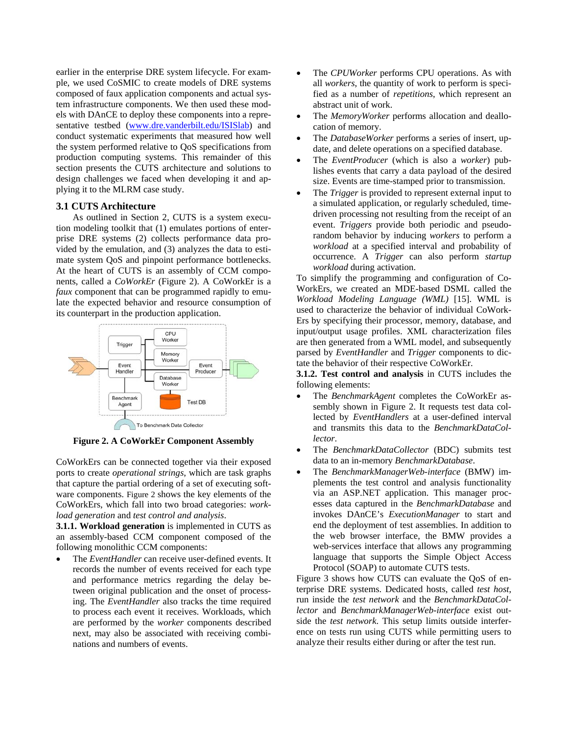earlier in the enterprise DRE system lifecycle. For example, we used CoSMIC to create models of DRE systems composed of faux application components and actual system infrastructure components. We then used these models with DAnCE to deploy these components into a repre-sentative testbed [\(www.dre.vanderbilt.edu/ISISlab\)](http://www.dre.vanderbilt.edu/ISISlab) and conduct systematic experiments that measured how well the system performed relative to QoS specifications from production computing systems. This remainder of this section presents the CUTS architecture and solutions to design challenges we faced when developing it and applying it to the MLRM case study.

#### **3.1 CUTS Architecture**

 As outlined in Section 2, CUTS is a system execution modeling toolkit that (1) emulates portions of enterprise DRE systems (2) collects performance data provided by the emulation, and (3) analyzes the data to estimate system QoS and pinpoint performance bottlenecks. At the heart of CUTS is an assembly of CCM components, called a *CoWorkEr* (Figure 2). A CoWorkEr is a *faux* component that can be programmed rapidly to emulate the expected behavior and resource consumption of its counterpart in the production application.



**Figure 2. A CoWorkEr Component Assembly** 

CoWorkErs can be connected together via their exposed ports to create *operational strings*, which are task graphs that capture the partial ordering of a set of executing software components. Figure 2 shows the key elements of the CoWorkErs, which fall into two broad categories: *workload generation* and *test control and analysis*.

**3.1.1. Workload generation** is implemented in CUTS as an assembly-based CCM component composed of the following monolithic CCM components:

• The *EventHandler* can receive user-defined events. It records the number of events received for each type and performance metrics regarding the delay between original publication and the onset of processing. The *EventHandler* also tracks the time required to process each event it receives. Workloads, which are performed by the *worker* components described next, may also be associated with receiving combinations and numbers of events.

- The *CPUWorker* performs CPU operations. As with all *workers*, the quantity of work to perform is specified as a number of *repetitions*, which represent an abstract unit of work.
- The *MemoryWorker* performs allocation and deallocation of memory.
- The *DatabaseWorker* performs a series of insert, update, and delete operations on a specified database.
- The *EventProducer* (which is also a *worker*) publishes events that carry a data payload of the desired size. Events are time-stamped prior to transmission.
- The *Trigger* is provided to represent external input to a simulated application, or regularly scheduled, timedriven processing not resulting from the receipt of an event. *Triggers* provide both periodic and pseudorandom behavior by inducing *workers* to perform a *workload* at a specified interval and probability of occurrence. A *Trigger* can also perform *startup workload* during activation.

To simplify the programming and configuration of Co-WorkErs, we created an MDE-based DSML called the *Workload Modeling Language (WML)* [15]. WML is used to characterize the behavior of individual CoWork-Ers by specifying their processor, memory, database, and input/output usage profiles. XML characterization files are then generated from a WML model, and subsequently parsed by *EventHandler* and *Trigger* components to dictate the behavior of their respective CoWorkEr.

**3.1.2. Test control and analysis** in CUTS includes the following elements:

- The *BenchmarkAgent* completes the CoWorkEr assembly shown in Figure 2. It requests test data collected by *EventHandlers* at a user-defined interval and transmits this data to the *BenchmarkDataCollector*.
- The *BenchmarkDataCollector* (BDC) submits test data to an in-memory *BenchmarkDatabase*.
- The *BenchmarkManagerWeb-interface* (BMW) implements the test control and analysis functionality via an ASP.NET application. This manager processes data captured in the *BenchmarkDatabase* and invokes DAnCE's *ExecutionManager* to start and end the deployment of test assemblies. In addition to the web browser interface, the BMW provides a web-services interface that allows any programming language that supports the Simple Object Access Protocol (SOAP) to automate CUTS tests.

Figure 3 shows how CUTS can evaluate the QoS of enterprise DRE systems. Dedicated hosts, called *test host*, run inside the *test network* and the *BenchmarkDataCollector* and *BenchmarkManagerWeb-interface* exist outside the *test network*. This setup limits outside interference on tests run using CUTS while permitting users to analyze their results either during or after the test run.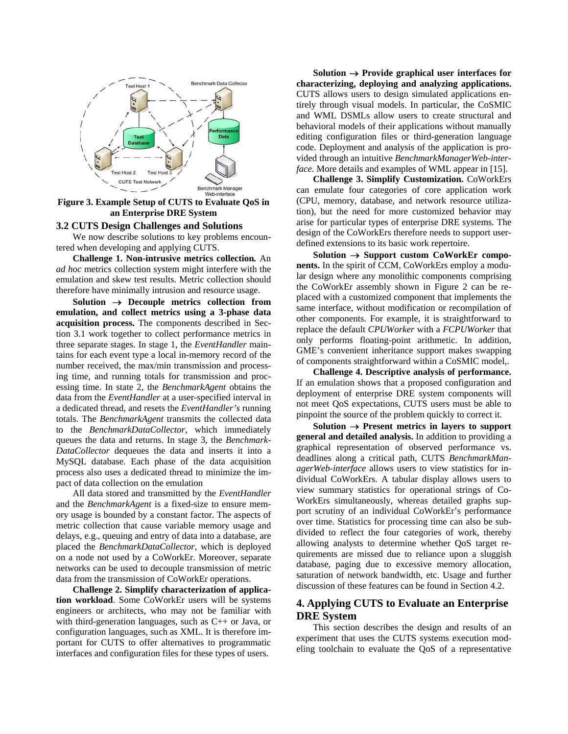

**Figure 3. Example Setup of CUTS to Evaluate QoS in an Enterprise DRE System** 

#### **3.2 CUTS Design Challenges and Solutions**

 We now describe solutions to key problems encountered when developing and applying CUTS.

 **Challenge 1. Non-intrusive metrics collection***.* An *ad hoc* metrics collection system might interfere with the emulation and skew test results. Metric collection should therefore have minimally intrusion and resource usage.

 **Solution** → **Decouple metrics collection from emulation, and collect metrics using a 3-phase data acquisition process.** The components described in Section 3.1 work together to collect performance metrics in three separate stages. In stage 1, the *EventHandler* maintains for each event type a local in-memory record of the number received, the max/min transmission and processing time, and running totals for transmission and processing time. In state 2, the *BenchmarkAgent* obtains the data from the *EventHandler* at a user-specified interval in a dedicated thread, and resets the *EventHandler's* running totals. The *BenchmarkAgent* transmits the collected data to the *BenchmarkDataCollector*, which immediately queues the data and returns. In stage 3, the *Benchmark-DataCollector* dequeues the data and inserts it into a MySQL database. Each phase of the data acquisition process also uses a dedicated thread to minimize the impact of data collection on the emulation

 All data stored and transmitted by the *EventHandler* and the *BenchmarkAgent* is a fixed-size to ensure memory usage is bounded by a constant factor. The aspects of metric collection that cause variable memory usage and delays, e.g., queuing and entry of data into a database, are placed the *BenchmarkDataCollector*, which is deployed on a node not used by a CoWorkEr. Moreover, separate networks can be used to decouple transmission of metric data from the transmission of CoWorkEr operations.

 **Challenge 2. Simplify characterization of application workload**. Some CoWorkEr users will be systems engineers or architects, who may not be familiar with with third-generation languages, such as C++ or Java, or configuration languages, such as XML. It is therefore important for CUTS to offer alternatives to programmatic interfaces and configuration files for these types of users.

 **Solution** → **Provide graphical user interfaces for characterizing, deploying and analyzing applications.** CUTS allows users to design simulated applications entirely through visual models. In particular, the CoSMIC and WML DSMLs allow users to create structural and behavioral models of their applications without manually editing configuration files or third-generation language code. Deployment and analysis of the application is provided through an intuitive *BenchmarkManagerWeb-interface*. More details and examples of WML appear in [15].

**Challenge 3. Simplify Customization.** CoWorkErs can emulate four categories of core application work (CPU, memory, database, and network resource utilization), but the need for more customized behavior may arise for particular types of enterprise DRE systems. The design of the CoWorkErs therefore needs to support userdefined extensions to its basic work repertoire.

 **Solution** → **Support custom CoWorkEr components.** In the spirit of CCM, CoWorkErs employ a modular design where any monolithic components comprising the CoWorkEr assembly shown in Figure 2 can be replaced with a customized component that implements the same interface, without modification or recompilation of other components. For example, it is straightforward to replace the default *CPUWorker* with a *FCPUWorker* that only performs floating-point arithmetic. In addition, GME's convenient inheritance support makes swapping of components straightforward within a CoSMIC model,.

 **Challenge 4. Descriptive analysis of performance.**  If an emulation shows that a proposed configuration and deployment of enterprise DRE system components will not meet QoS expectations, CUTS users must be able to pinpoint the source of the problem quickly to correct it.

 $Solution \rightarrow$  Present metrics in layers to support **general and detailed analysis.** In addition to providing a graphical representation of observed performance vs. deadlines along a critical path, CUTS *BenchmarkManagerWeb-interface* allows users to view statistics for individual CoWorkErs. A tabular display allows users to view summary statistics for operational strings of Co-WorkErs simultaneously, whereas detailed graphs support scrutiny of an individual CoWorkEr's performance over time. Statistics for processing time can also be subdivided to reflect the four categories of work, thereby allowing analysts to determine whether QoS target requirements are missed due to reliance upon a sluggish database, paging due to excessive memory allocation, saturation of network bandwidth, etc. Usage and further discussion of these features can be found in Section 4.2.

# **4. Applying CUTS to Evaluate an Enterprise DRE System**

 This section describes the design and results of an experiment that uses the CUTS systems execution modeling toolchain to evaluate the QoS of a representative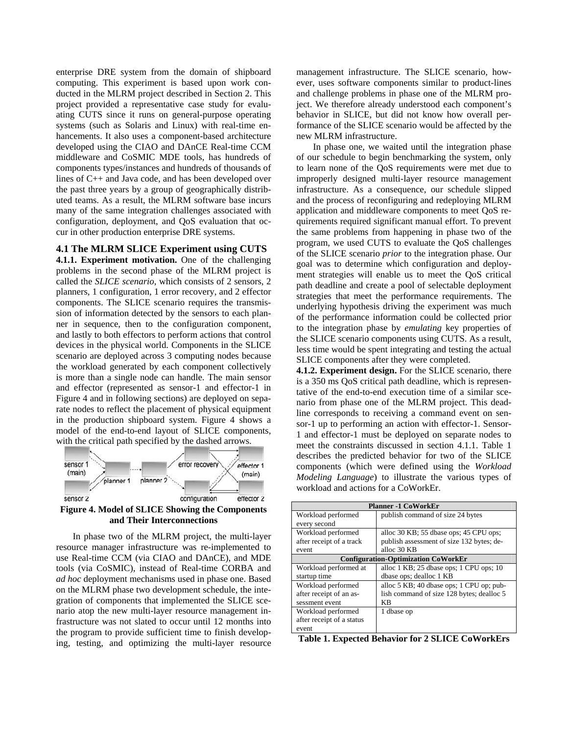enterprise DRE system from the domain of shipboard computing. This experiment is based upon work conducted in the MLRM project described in Section 2. This project provided a representative case study for evaluating CUTS since it runs on general-purpose operating systems (such as Solaris and Linux) with real-time enhancements. It also uses a component-based architecture developed using the CIAO and DAnCE Real-time CCM middleware and CoSMIC MDE tools, has hundreds of components types/instances and hundreds of thousands of lines of C++ and Java code, and has been developed over the past three years by a group of geographically distributed teams. As a result, the MLRM software base incurs many of the same integration challenges associated with configuration, deployment, and QoS evaluation that occur in other production enterprise DRE systems.

#### **4.1 The MLRM SLICE Experiment using CUTS**

**4.1.1. Experiment motivation.** One of the challenging problems in the second phase of the MLRM project is called the *SLICE scenario*, which consists of 2 sensors, 2 planners, 1 configuration, 1 error recovery, and 2 effector components. The SLICE scenario requires the transmission of information detected by the sensors to each planner in sequence, then to the configuration component, and lastly to both effectors to perform actions that control devices in the physical world. Components in the SLICE scenario are deployed across 3 computing nodes because the workload generated by each component collectively is more than a single node can handle. The main sensor and effector (represented as sensor-1 and effector-1 in Figure 4 and in following sections) are deployed on separate nodes to reflect the placement of physical equipment in the production shipboard system. Figure 4 shows a model of the end-to-end layout of SLICE components, with the critical path specified by the dashed arrows.



**Figure 4. Model of SLICE Showing the Components and Their Interconnections** 

 In phase two of the MLRM project, the multi-layer resource manager infrastructure was re-implemented to use Real-time CCM (via CIAO and DAnCE), and MDE tools (via CoSMIC), instead of Real-time CORBA and *ad hoc* deployment mechanisms used in phase one. Based on the MLRM phase two development schedule, the integration of components that implemented the SLICE scenario atop the new multi-layer resource management infrastructure was not slated to occur until 12 months into the program to provide sufficient time to finish developing, testing, and optimizing the multi-layer resource management infrastructure. The SLICE scenario, however, uses software components similar to product-lines and challenge problems in phase one of the MLRM project. We therefore already understood each component's behavior in SLICE, but did not know how overall performance of the SLICE scenario would be affected by the new MLRM infrastructure.

 In phase one, we waited until the integration phase of our schedule to begin benchmarking the system, only to learn none of the QoS requirements were met due to improperly designed multi-layer resource management infrastructure. As a consequence, our schedule slipped and the process of reconfiguring and redeploying MLRM application and middleware components to meet QoS requirements required significant manual effort. To prevent the same problems from happening in phase two of the program, we used CUTS to evaluate the QoS challenges of the SLICE scenario *prior* to the integration phase. Our goal was to determine which configuration and deployment strategies will enable us to meet the QoS critical path deadline and create a pool of selectable deployment strategies that meet the performance requirements. The underlying hypothesis driving the experiment was much of the performance information could be collected prior to the integration phase by *emulating* key properties of the SLICE scenario components using CUTS. As a result, less time would be spent integrating and testing the actual SLICE components after they were completed.

**4.1.2. Experiment design.** For the SLICE scenario, there is a 350 ms QoS critical path deadline, which is representative of the end-to-end execution time of a similar scenario from phase one of the MLRM project. This deadline corresponds to receiving a command event on sensor-1 up to performing an action with effector-1. Sensor-1 and effector-1 must be deployed on separate nodes to meet the constraints discussed in section 4.1.1. Table 1 describes the predicted behavior for two of the SLICE components (which were defined using the *Workload Modeling Language*) to illustrate the various types of workload and actions for a CoWorkEr.

| <b>Planner -1 CoWorkEr</b>                 |                                                 |  |  |  |
|--------------------------------------------|-------------------------------------------------|--|--|--|
| Workload performed                         | publish command of size 24 bytes                |  |  |  |
| every second                               |                                                 |  |  |  |
| Workload performed                         | alloc 30 KB; 55 dbase ops; 45 CPU ops;          |  |  |  |
| after receipt of a track                   | publish assessment of size 132 bytes; de-       |  |  |  |
| event                                      | alloc 30 KB                                     |  |  |  |
| <b>Configuration-Optimization CoWorkEr</b> |                                                 |  |  |  |
| Workload performed at                      | alloc $1$ KB; $25$ dbase ops; $1$ CPU ops; $10$ |  |  |  |
| startup time                               | dbase ops; dealloc 1 KB                         |  |  |  |
| Workload performed                         | alloc 5 KB; 40 dbase ops; 1 CPU op; pub-        |  |  |  |
| after receipt of an as-                    | lish command of size 128 bytes; dealloc 5       |  |  |  |
| sessment event                             | КB                                              |  |  |  |
| Workload performed                         | 1 dbase op                                      |  |  |  |
| after receipt of a status                  |                                                 |  |  |  |
| event                                      |                                                 |  |  |  |

**Table 1. Expected Behavior for 2 SLICE CoWorkErs**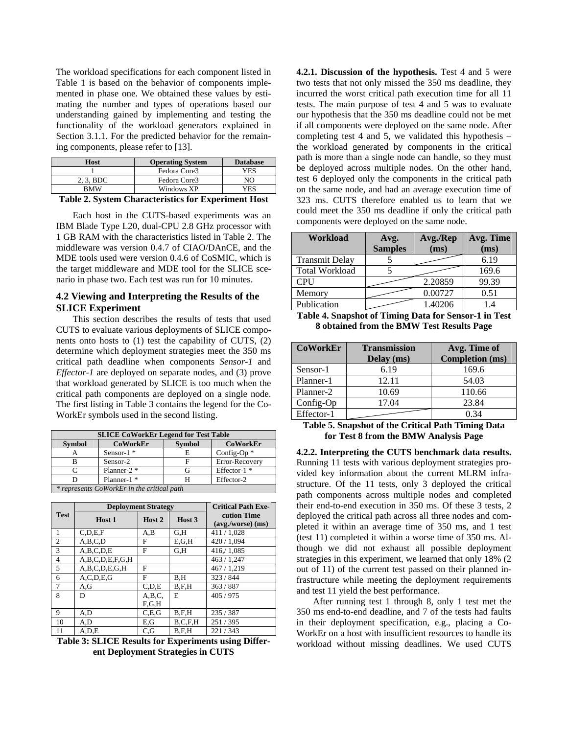The workload specifications for each component listed in Table 1 is based on the behavior of components implemented in phase one. We obtained these values by estimating the number and types of operations based our understanding gained by implementing and testing the functionality of the workload generators explained in Section 3.1.1. For the predicted behavior for the remaining components, please refer to [13].

| Host       | <b>Operating System</b> | <b>Database</b> |
|------------|-------------------------|-----------------|
|            | Fedora Core3            | <b>YES</b>      |
| 2, 3, BDC  | Fedora Core3            | NΩ              |
| <b>RMW</b> | Windows XP              | YES             |

**Table 2. System Characteristics for Experiment Host** 

Each host in the CUTS-based experiments was an IBM Blade Type L20, dual-CPU 2.8 GHz processor with 1 GB RAM with the characteristics listed in Table 2. The middleware was version 0.4.7 of CIAO/DAnCE, and the MDE tools used were version 0.4.6 of CoSMIC, which is the target middleware and MDE tool for the SLICE scenario in phase two. Each test was run for 10 minutes.

# **4.2 Viewing and Interpreting the Results of the SLICE Experiment**

 This section describes the results of tests that used CUTS to evaluate various deployments of SLICE components onto hosts to (1) test the capability of CUTS, (2) determine which deployment strategies meet the 350 ms critical path deadline when components *Sensor-1* and *Effector-1* are deployed on separate nodes, and (3) prove that workload generated by SLICE is too much when the critical path components are deployed on a single node. The first listing in Table 3 contains the legend for the Co-WorkEr symbols used in the second listing.

| <b>SLICE CoWorkEr Legend for Test Table</b> |                        |               |                            |
|---------------------------------------------|------------------------|---------------|----------------------------|
| <b>Symbol</b>                               | <b>CoWorkEr</b>        | <b>Symbol</b> | CoWorkEr                   |
|                                             | Sensor- $1$ *          |               | Config-Op $*$              |
|                                             | Sensor-2               |               | Error-Recovery             |
|                                             | Planner-2 <sup>*</sup> |               | Effector- $1$ <sup>*</sup> |
|                                             | Planner- $1$ *         |               | Effector-2                 |
| * represents CoWorkEr in the critical path  |                        |               |                            |

|             | <b>Deployment Strategy</b> |                 |         | <b>Critical Path Exe-</b>          |
|-------------|----------------------------|-----------------|---------|------------------------------------|
| <b>Test</b> | Host 1                     | Host 2          | Host 3  | cution Time<br>$(avg./worse)$ (ms) |
|             | C.D.E.F                    | A,B             | G,H     | 411/1.028                          |
| 2           | A,B,C,D                    | F               | E.G.H   | 420/1,094                          |
| 3           | A, B, C, D, E              | F               | G.H     | 416/1,085                          |
| 4           | A, B, C, D, E, F, G, H     |                 |         | 463 / 1.247                        |
| 5           | A, B, C, D, E, G, H        | F               |         | 467/1,219                          |
| 6           | A, C, D, E, G              | F               | B.H     | 323/844                            |
| 7           | A,G                        | C.D.E           | B.F.H   | 363/887                            |
| 8           | D                          | A,B,C,<br>F.G.H | E       | 405/975                            |
| 9           | A,D                        | C.E.G           | B.F.H   | 235/387                            |
| 10          | A,D                        | E.G             | B.C.F.H | 251/395                            |
| 11          | A.D.E                      | $C_{\rm G}$     | B.F.H   | 221/343                            |

**Table 3: SLICE Results for Experiments using Different Deployment Strategies in CUTS** 

**4.2.1. Discussion of the hypothesis.** Test 4 and 5 were two tests that not only missed the 350 ms deadline, they incurred the worst critical path execution time for all 11 tests. The main purpose of test 4 and 5 was to evaluate our hypothesis that the 350 ms deadline could not be met if all components were deployed on the same node. After completing test 4 and 5, we validated this hypothesis – the workload generated by components in the critical path is more than a single node can handle, so they must be deployed across multiple nodes. On the other hand, test 6 deployed only the components in the critical path on the same node, and had an average execution time of 323 ms. CUTS therefore enabled us to learn that we could meet the 350 ms deadline if only the critical path components were deployed on the same node.

| <b>Workload</b>       | Avg.           | Avg./Rep | Avg. Time |
|-----------------------|----------------|----------|-----------|
|                       | <b>Samples</b> | (ms)     | (ms)      |
| <b>Transmit Delay</b> |                |          | 6.19      |
| <b>Total Workload</b> |                |          | 169.6     |
| CPU                   |                | 2.20859  | 99.39     |
| Memory                |                | 0.00727  | 0.51      |
| Publication           |                | 1.40206  | 1.4       |

**Table 4. Snapshot of Timing Data for Sensor-1 in Test 8 obtained from the BMW Test Results Page** 

| <b>CoWorkEr</b> | <b>Transmission</b><br>Delay (ms) | Avg. Time of<br><b>Completion</b> (ms) |
|-----------------|-----------------------------------|----------------------------------------|
| Sensor-1        | 6.19                              | 169.6                                  |
| Planner-1       | 12.11                             | 54.03                                  |
| Planner-2       | 10.69                             | 110.66                                 |
| Config-Op       | 17.04                             | 23.84                                  |
| Effector-1      |                                   | 0.34                                   |

**Table 5. Snapshot of the Critical Path Timing Data for Test 8 from the BMW Analysis Page** 

**4.2.2. Interpreting the CUTS benchmark data results.** Running 11 tests with various deployment strategies provided key information about the current MLRM infrastructure. Of the 11 tests, only 3 deployed the critical path components across multiple nodes and completed their end-to-end execution in 350 ms. Of these 3 tests, 2 deployed the critical path across all three nodes and completed it within an average time of 350 ms, and 1 test (test 11) completed it within a worse time of 350 ms. Although we did not exhaust all possible deployment strategies in this experiment, we learned that only 18% (2 out of 11) of the current test passed on their planned infrastructure while meeting the deployment requirements and test 11 yield the best performance.

 After running test 1 through 8, only 1 test met the 350 ms end-to-end deadline, and 7 of the tests had faults in their deployment specification, e.g., placing a Co-WorkEr on a host with insufficient resources to handle its workload without missing deadlines. We used CUTS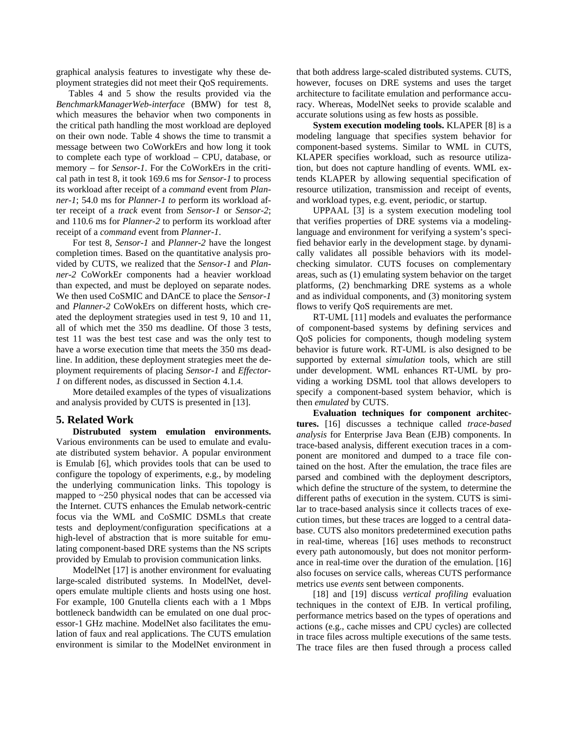graphical analysis features to investigate why these deployment strategies did not meet their QoS requirements.

Tables 4 and 5 show the results provided via the *BenchmarkManagerWeb-interface* (BMW) for test 8, which measures the behavior when two components in the critical path handling the most workload are deployed on their own node. Table 4 shows the time to transmit a message between two CoWorkErs and how long it took to complete each type of workload – CPU, database, or memory – for *Sensor-1*. For the CoWorkErs in the critical path in test 8, it took 169.6 ms for *Sensor-1* to process its workload after receipt of a *command* event from *Planner-1*; 54.0 ms for *Planner-1 to* perform its workload after receipt of a *track* event from *Sensor-1* or *Sensor-2*; and 110.6 ms for *Planner-2* to perform its workload after receipt of a *command* event from *Planner-1*.

For test 8, *Sensor-1* and *Planner-2* have the longest completion times. Based on the quantitative analysis provided by CUTS, we realized that the *Sensor-1* and *Planner-2* CoWorkEr components had a heavier workload than expected, and must be deployed on separate nodes. We then used CoSMIC and DAnCE to place the *Sensor-1* and *Planner-2* CoWokErs on different hosts, which created the deployment strategies used in test 9, 10 and 11, all of which met the 350 ms deadline. Of those 3 tests, test 11 was the best test case and was the only test to have a worse execution time that meets the 350 ms deadline. In addition, these deployment strategies meet the deployment requirements of placing *Sensor-1* and *Effector-1* on different nodes, as discussed in Section 4.1.4.

More detailed examples of the types of visualizations and analysis provided by CUTS is presented in [13].

# **5. Related Work**

**Distrubuted system emulation environments.**  Various environments can be used to emulate and evaluate distributed system behavior. A popular environment is Emulab [6], which provides tools that can be used to configure the topology of experiments, e.g., by modeling the underlying communication links. This topology is mapped to  $\sim$ 250 physical nodes that can be accessed via the Internet. CUTS enhances the Emulab network-centric focus via the WML and CoSMIC DSMLs that create tests and deployment/configuration specifications at a high-level of abstraction that is more suitable for emulating component-based DRE systems than the NS scripts provided by Emulab to provision communication links.

 ModelNet [17] is another environment for evaluating large-scaled distributed systems. In ModelNet, developers emulate multiple clients and hosts using one host. For example, 100 Gnutella clients each with a 1 Mbps bottleneck bandwidth can be emulated on one dual processor-1 GHz machine. ModelNet also facilitates the emulation of faux and real applications. The CUTS emulation environment is similar to the ModelNet environment in

that both address large-scaled distributed systems. CUTS, however, focuses on DRE systems and uses the target architecture to facilitate emulation and performance accuracy. Whereas, ModelNet seeks to provide scalable and accurate solutions using as few hosts as possible.

**System execution modeling tools.** KLAPER [8] is a modeling language that specifies system behavior for component-based systems. Similar to WML in CUTS, KLAPER specifies workload, such as resource utilization, but does not capture handling of events. WML extends KLAPER by allowing sequential specification of resource utilization, transmission and receipt of events, and workload types, e.g. event, periodic, or startup.

UPPAAL [3] is a system execution modeling tool that verifies properties of DRE systems via a modelinglanguage and environment for verifying a system's specified behavior early in the development stage. by dynamically validates all possible behaviors with its modelchecking simulator. CUTS focuses on complementary areas, such as (1) emulating system behavior on the target platforms, (2) benchmarking DRE systems as a whole and as individual components, and (3) monitoring system flows to verify QoS requirements are met.

RT-UML [11] models and evaluates the performance of component-based systems by defining services and QoS policies for components, though modeling system behavior is future work. RT-UML is also designed to be supported by external *simulation* tools, which are still under development. WML enhances RT-UML by providing a working DSML tool that allows developers to specify a component-based system behavior, which is then *emulated* by CUTS.

**Evaluation techniques for component architectures.** [16] discusses a technique called *trace-based analysis* for Enterprise Java Bean (EJB) components. In trace-based analysis, different execution traces in a component are monitored and dumped to a trace file contained on the host. After the emulation, the trace files are parsed and combined with the deployment descriptors, which define the structure of the system, to determine the different paths of execution in the system. CUTS is similar to trace-based analysis since it collects traces of execution times, but these traces are logged to a central database. CUTS also monitors predetermined execution paths in real-time, whereas [16] uses methods to reconstruct every path autonomously, but does not monitor performance in real-time over the duration of the emulation. [16] also focuses on service calls, whereas CUTS performance metrics use *events* sent between components.

[18] and [19] discuss *vertical profiling* evaluation techniques in the context of EJB. In vertical profiling, performance metrics based on the types of operations and actions (e.g., cache misses and CPU cycles) are collected in trace files across multiple executions of the same tests. The trace files are then fused through a process called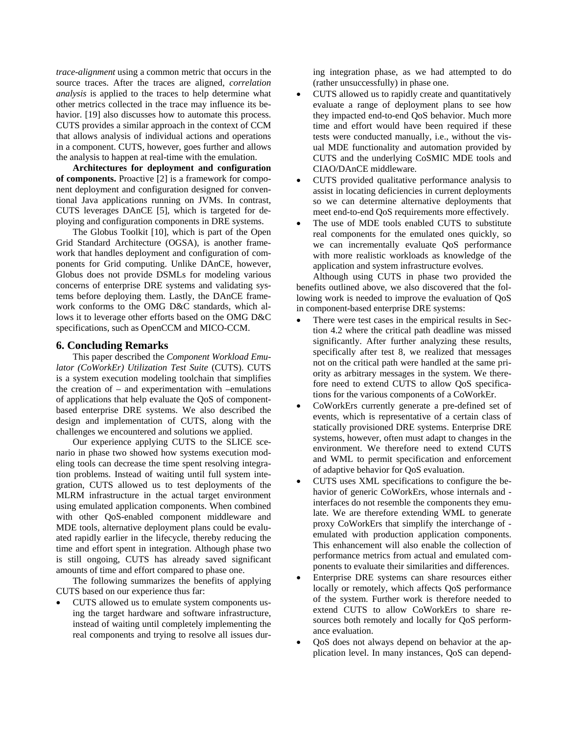*trace-alignment* using a common metric that occurs in the source traces. After the traces are aligned, *correlation analysis* is applied to the traces to help determine what other metrics collected in the trace may influence its behavior. [19] also discusses how to automate this process. CUTS provides a similar approach in the context of CCM that allows analysis of individual actions and operations in a component. CUTS, however, goes further and allows the analysis to happen at real-time with the emulation.

**Architectures for deployment and configuration of components.** Proactive [2] is a framework for component deployment and configuration designed for conventional Java applications running on JVMs. In contrast, CUTS leverages DAnCE [5], which is targeted for deploying and configuration components in DRE systems.

The Globus Toolkit [10], which is part of the Open Grid Standard Architecture (OGSA), is another framework that handles deployment and configuration of components for Grid computing. Unlike DAnCE, however, Globus does not provide DSMLs for modeling various concerns of enterprise DRE systems and validating systems before deploying them. Lastly, the DAnCE framework conforms to the OMG D&C standards, which allows it to leverage other efforts based on the OMG D&C specifications, such as OpenCCM and MICO-CCM.

# **6. Concluding Remarks**

 This paper described the *Component Workload Emulator (CoWorkEr) Utilization Test Suite* (CUTS). CUTS is a system execution modeling toolchain that simplifies the creation of – and experimentation with –emulations of applications that help evaluate the QoS of componentbased enterprise DRE systems. We also described the design and implementation of CUTS, along with the challenges we encountered and solutions we applied.

Our experience applying CUTS to the SLICE scenario in phase two showed how systems execution modeling tools can decrease the time spent resolving integration problems. Instead of waiting until full system integration, CUTS allowed us to test deployments of the MLRM infrastructure in the actual target environment using emulated application components. When combined with other QoS-enabled component middleware and MDE tools, alternative deployment plans could be evaluated rapidly earlier in the lifecycle, thereby reducing the time and effort spent in integration. Although phase two is still ongoing, CUTS has already saved significant amounts of time and effort compared to phase one.

The following summarizes the benefits of applying CUTS based on our experience thus far:

• CUTS allowed us to emulate system components using the target hardware and software infrastructure, instead of waiting until completely implementing the real components and trying to resolve all issues during integration phase, as we had attempted to do (rather unsuccessfully) in phase one.

- CUTS allowed us to rapidly create and quantitatively evaluate a range of deployment plans to see how they impacted end-to-end QoS behavior. Much more time and effort would have been required if these tests were conducted manually, i.e., without the visual MDE functionality and automation provided by CUTS and the underlying CoSMIC MDE tools and CIAO/DAnCE middleware.
- CUTS provided qualitative performance analysis to assist in locating deficiencies in current deployments so we can determine alternative deployments that meet end-to-end QoS requirements more effectively.
- The use of MDE tools enabled CUTS to substitute real components for the emulated ones quickly, so we can incrementally evaluate QoS performance with more realistic workloads as knowledge of the application and system infrastructure evolves.

 Although using CUTS in phase two provided the benefits outlined above, we also discovered that the following work is needed to improve the evaluation of QoS in component-based enterprise DRE systems:

- There were test cases in the empirical results in Section 4.2 where the critical path deadline was missed significantly. After further analyzing these results, specifically after test 8, we realized that messages not on the critical path were handled at the same priority as arbitrary messages in the system. We therefore need to extend CUTS to allow QoS specifications for the various components of a CoWorkEr.
- CoWorkErs currently generate a pre-defined set of events, which is representative of a certain class of statically provisioned DRE systems. Enterprise DRE systems, however, often must adapt to changes in the environment. We therefore need to extend CUTS and WML to permit specification and enforcement of adaptive behavior for QoS evaluation.
- CUTS uses XML specifications to configure the behavior of generic CoWorkErs, whose internals and interfaces do not resemble the components they emulate. We are therefore extending WML to generate proxy CoWorkErs that simplify the interchange of emulated with production application components. This enhancement will also enable the collection of performance metrics from actual and emulated components to evaluate their similarities and differences.
- Enterprise DRE systems can share resources either locally or remotely, which affects QoS performance of the system. Further work is therefore needed to extend CUTS to allow CoWorkErs to share resources both remotely and locally for QoS performance evaluation.
- QoS does not always depend on behavior at the application level. In many instances, QoS can depend-